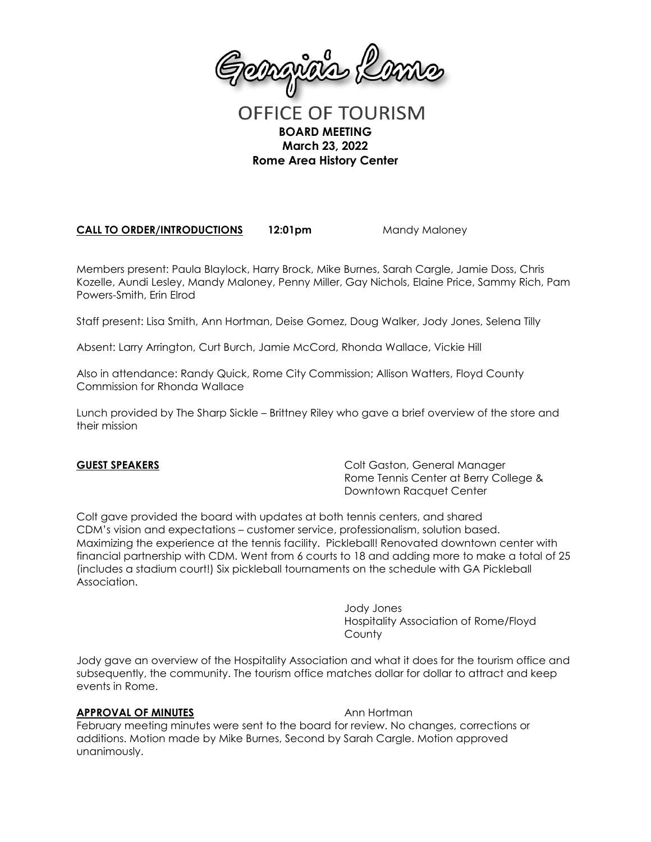

# **OFFICE OF TOURISM BOARD MEETING March 23, 2022 Rome Area History Center**

**CALL TO ORDER/INTRODUCTIONS 12:01pm** Mandy Maloney

Members present: Paula Blaylock, Harry Brock, Mike Burnes, Sarah Cargle, Jamie Doss, Chris Kozelle, Aundi Lesley, Mandy Maloney, Penny Miller, Gay Nichols, Elaine Price, Sammy Rich, Pam Powers-Smith, Erin Elrod

Staff present: Lisa Smith, Ann Hortman, Deise Gomez, Doug Walker, Jody Jones, Selena Tilly

Absent: Larry Arrington, Curt Burch, Jamie McCord, Rhonda Wallace, Vickie Hill

Also in attendance: Randy Quick, Rome City Commission; Allison Watters, Floyd County Commission for Rhonda Wallace

Lunch provided by The Sharp Sickle – Brittney Riley who gave a brief overview of the store and their mission

**GUEST SPEAKERS** Colt Gaston, General Manager Rome Tennis Center at Berry College & Downtown Racquet Center

Colt gave provided the board with updates at both tennis centers, and shared CDM's vision and expectations – customer service, professionalism, solution based. Maximizing the experience at the tennis facility. Pickleball! Renovated downtown center with financial partnership with CDM. Went from 6 courts to 18 and adding more to make a total of 25 (includes a stadium court!) Six pickleball tournaments on the schedule with GA Pickleball Association.

> Jody Jones Hospitality Association of Rome/Floyd **County**

Jody gave an overview of the Hospitality Association and what it does for the tourism office and subsequently, the community. The tourism office matches dollar for dollar to attract and keep events in Rome.

### **APPROVAL OF MINUTES** Ann Hortman

February meeting minutes were sent to the board for review. No changes, corrections or additions. Motion made by Mike Burnes, Second by Sarah Cargle. Motion approved unanimously.